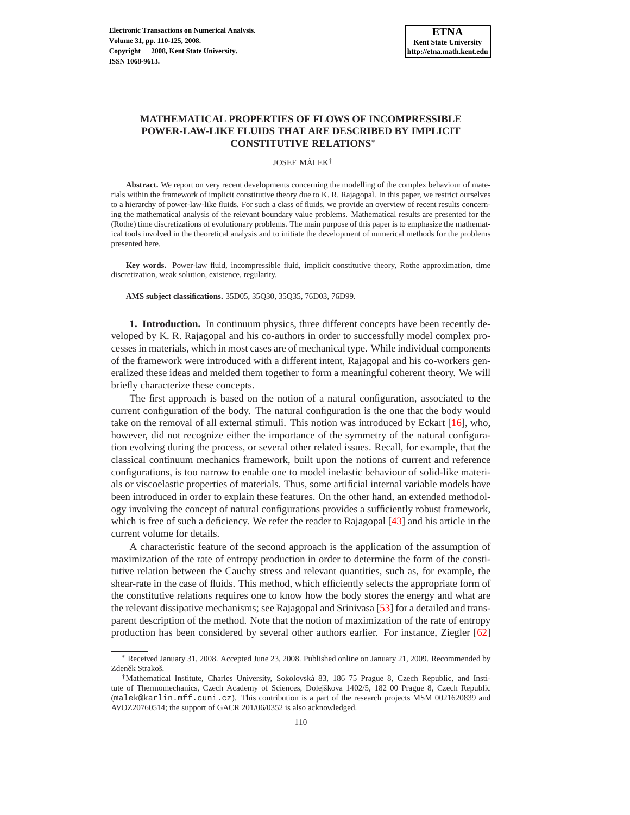# **MATHEMATICAL PROPERTIES OF FLOWS OF INCOMPRESSIBLE POWER-LAW-LIKE FLUIDS THAT ARE DESCRIBED BY IMPLICIT CONSTITUTIVE RELATIONS**<sup>∗</sup>

JOSEF MÁLEK<sup>†</sup>

**Abstract.** We report on very recent developments concerning the modelling of the complex behaviour of materials within the framework of implicit constitutive theory due to K. R. Rajagopal. In this paper, we restrict ourselves to a hierarchy of power-law-like fluids. For such a class of fluids, we provide an overview of recent results concerning the mathematical analysis of the relevant boundary value problems. Mathematical results are presented for the (Rothe) time discretizations of evolutionary problems. The main purpose of this paper is to emphasize the mathematical tools involved in the theoretical analysis and to initiate the development of numerical methods for the problems presented here.

**Key words.** Power-law fluid, incompressible fluid, implicit constitutive theory, Rothe approximation, time discretization, weak solution, existence, regularity.

**AMS subject classifications.** 35D05, 35Q30, 35Q35, 76D03, 76D99.

**1. Introduction.** In continuum physics, three different concepts have been recently developed by K. R. Rajagopal and his co-authors in order to successfully model complex processes in materials, which in most cases are of mechanical type. While individual components of the framework were introduced with a different intent, Rajagopal and his co-workers generalized these ideas and melded them together to form a meaningful coherent theory. We will briefly characterize these concepts.

The first approach is based on the notion of a natural configuration, associated to the current configuration of the body. The natural configuration is the one that the body would take on the removal of all external stimuli. This notion was introduced by Eckart [\[16\]](#page-14-0), who, however, did not recognize either the importance of the symmetry of the natural configuration evolving during the process, or several other related issues. Recall, for example, that the classical continuum mechanics framework, built upon the notions of current and reference configurations, is too narrow to enable one to model inelastic behaviour of solid-like materials or viscoelastic properties of materials. Thus, some artificial internal variable models have been introduced in order to explain these features. On the other hand, an extended methodology involving the concept of natural configurations provides a sufficiently robust framework, which is free of such a deficiency. We refer the reader to Rajagopal [\[43\]](#page-15-0) and his article in the current volume for details.

A characteristic feature of the second approach is the application of the assumption of maximization of the rate of entropy production in order to determine the form of the constitutive relation between the Cauchy stress and relevant quantities, such as, for example, the shear-rate in the case of fluids. This method, which efficiently selects the appropriate form of the constitutive relations requires one to know how the body stores the energy and what are the relevant dissipative mechanisms; see Rajagopal and Srinivasa [\[53\]](#page-15-1) for a detailed and transparent description of the method. Note that the notion of maximization of the rate of entropy production has been considered by several other authors earlier. For instance, Ziegler [\[62\]](#page-15-2)

<sup>∗</sup> Received January 31, 2008. Accepted June 23, 2008. Published online on January 21, 2009. Recommended by Zdeněk Strakoš.

<sup>†</sup>Mathematical Institute, Charles University, Sokolovska 83, 186 75 Prague 8, Czech Republic, and Insti- ´ tute of Thermomechanics, Czech Academy of Sciences, Dolejškova 1402/5, 182 00 Prague 8, Czech Republic (malek@karlin.mff.cuni.cz). This contribution is a part of the research projects MSM 0021620839 and AVOZ20760514; the support of GACR 201/06/0352 is also acknowledged.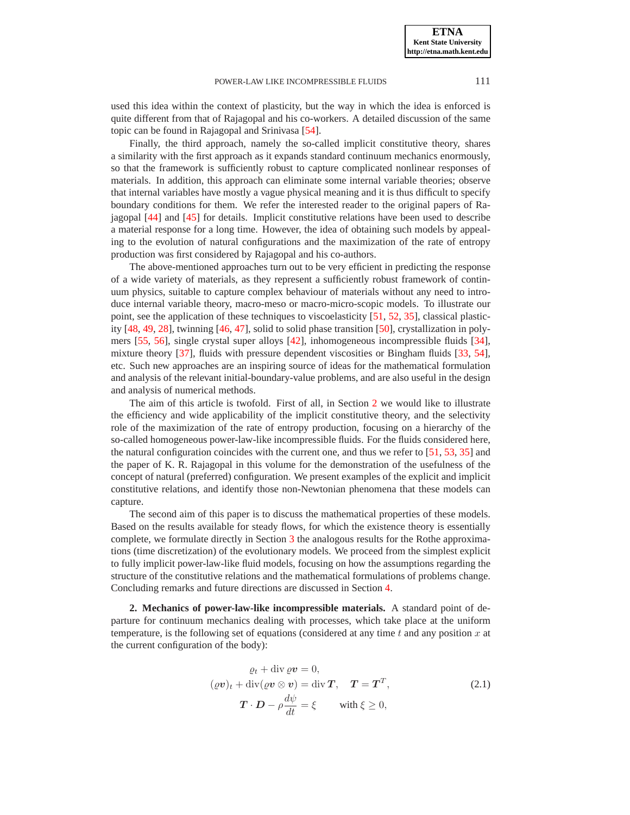used this idea within the context of plasticity, but the way in which the idea is enforced is quite different from that of Rajagopal and his co-workers. A detailed discussion of the same topic can be found in Rajagopal and Srinivasa [\[54\]](#page-15-3).

Finally, the third approach, namely the so-called implicit constitutive theory, shares a similarity with the first approach as it expands standard continuum mechanics enormously, so that the framework is sufficiently robust to capture complicated nonlinear responses of materials. In addition, this approach can eliminate some internal variable theories; observe that internal variables have mostly a vague physical meaning and it is thus difficult to specify boundary conditions for them. We refer the interested reader to the original papers of Rajagopal [\[44\]](#page-15-4) and [\[45\]](#page-15-5) for details. Implicit constitutive relations have been used to describe a material response for a long time. However, the idea of obtaining such models by appealing to the evolution of natural configurations and the maximization of the rate of entropy production was first considered by Rajagopal and his co-authors.

The above-mentioned approaches turn out to be very efficient in predicting the response of a wide variety of materials, as they represent a sufficiently robust framework of continuum physics, suitable to capture complex behaviour of materials without any need to introduce internal variable theory, macro-meso or macro-micro-scopic models. To illustrate our point, see the application of these techniques to viscoelasticity [\[51,](#page-15-6) [52,](#page-15-7) [35\]](#page-14-1), classical plasticity [\[48,](#page-15-8) [49,](#page-15-9) [28\]](#page-14-2), twinning [\[46,](#page-15-10) [47\]](#page-15-11), solid to solid phase transition [\[50\]](#page-15-12), crystallization in polymers [\[55,](#page-15-13) [56\]](#page-15-14), single crystal super alloys [\[42\]](#page-15-15), inhomogeneous incompressible fluids [\[34\]](#page-14-3), mixture theory [\[37\]](#page-14-4), fluids with pressure dependent viscosities or Bingham fluids [\[33,](#page-14-5) [54\]](#page-15-3), etc. Such new approaches are an inspiring source of ideas for the mathematical formulation and analysis of the relevant initial-boundary-value problems, and are also useful in the design and analysis of numerical methods.

The aim of this article is twofold. First of all, in Section [2](#page-1-0) we would like to illustrate the efficiency and wide applicability of the implicit constitutive theory, and the selectivity role of the maximization of the rate of entropy production, focusing on a hierarchy of the so-called homogeneous power-law-like incompressible fluids. For the fluids considered here, the natural configuration coincides with the current one, and thus we refer to  $[51, 53, 35]$  $[51, 53, 35]$  $[51, 53, 35]$  $[51, 53, 35]$  and the paper of K. R. Rajagopal in this volume for the demonstration of the usefulness of the concept of natural (preferred) configuration. We present examples of the explicit and implicit constitutive relations, and identify those non-Newtonian phenomena that these models can capture.

The second aim of this paper is to discuss the mathematical properties of these models. Based on the results available for steady flows, for which the existence theory is essentially complete, we formulate directly in Section [3](#page-7-0) the analogous results for the Rothe approximations (time discretization) of the evolutionary models. We proceed from the simplest explicit to fully implicit power-law-like fluid models, focusing on how the assumptions regarding the structure of the constitutive relations and the mathematical formulations of problems change. Concluding remarks and future directions are discussed in Section [4.](#page-13-0)

<span id="page-1-0"></span>**2. Mechanics of power-law-like incompressible materials.** A standard point of departure for continuum mechanics dealing with processes, which take place at the uniform temperature, is the following set of equations (considered at any time  $t$  and any position  $x$  at the current configuration of the body):

<span id="page-1-1"></span>
$$
\rho_t + \text{div}\,\rho \mathbf{v} = 0,
$$
  
\n
$$
(\rho \mathbf{v})_t + \text{div}(\rho \mathbf{v} \otimes \mathbf{v}) = \text{div}\,\mathbf{T}, \quad \mathbf{T} = \mathbf{T}^T,
$$
  
\n
$$
\mathbf{T} \cdot \mathbf{D} - \rho \frac{d\psi}{dt} = \xi \qquad \text{with } \xi \ge 0,
$$
\n(2.1)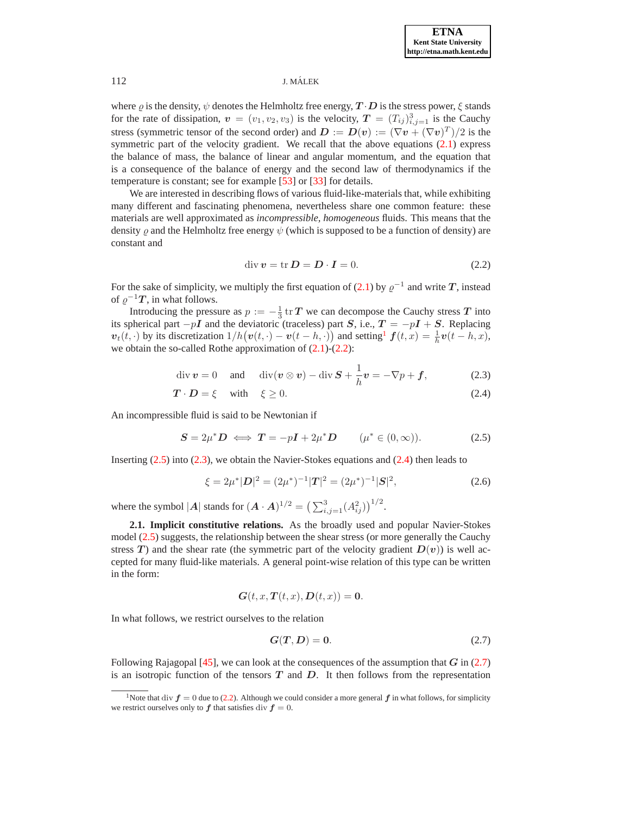where  $\varrho$  is the density,  $\psi$  denotes the Helmholtz free energy,  $T \cdot D$  is the stress power,  $\xi$  stands for the rate of dissipation,  $v = (v_1, v_2, v_3)$  is the velocity,  $T = (T_{ij})_{i,j=1}^3$  is the Cauchy stress (symmetric tensor of the second order) and  $D := D(v) := (\nabla v + (\nabla v)^T)/2$  is the symmetric part of the velocity gradient. We recall that the above equations  $(2.1)$  express the balance of mass, the balance of linear and angular momentum, and the equation that is a consequence of the balance of energy and the second law of thermodynamics if the temperature is constant; see for example [\[53\]](#page-15-1) or [\[33\]](#page-14-5) for details.

We are interested in describing flows of various fluid-like-materials that, while exhibiting many different and fascinating phenomena, nevertheless share one common feature: these materials are well approximated as *incompressible, homogeneous* fluids. This means that the density  $\rho$  and the Helmholtz free energy  $\psi$  (which is supposed to be a function of density) are constant and

$$
\operatorname{div} \mathbf{v} = \operatorname{tr} \mathbf{D} = \mathbf{D} \cdot \mathbf{I} = 0. \tag{2.2}
$$

<span id="page-2-1"></span>For the sake of simplicity, we multiply the first equation of [\(2.1\)](#page-1-1) by  $\varrho^{-1}$  and write T, instead of  $\varrho^{-1}T$ , in what follows.

Introducing the pressure as  $p := -\frac{1}{3}$  tr T we can decompose the Cauchy stress T into its spherical part  $-pI$  and the deviatoric (traceless) part S, i.e.,  $T = -pI + S$ . Replacing  $\mathbf{v}_t(t, \cdot)$  by its discretization  $1/h(\mathbf{v}(t, \cdot) - \mathbf{v}(t - h, \cdot))$  $1/h(\mathbf{v}(t, \cdot) - \mathbf{v}(t - h, \cdot))$  and setting  $\mathbf{f}(t, x) = \frac{1}{h}\mathbf{v}(t - h, x)$ , we obtain the so-called Rothe approximation of  $(2.1)-(2.2)$  $(2.1)-(2.2)$  $(2.1)-(2.2)$ :

$$
\operatorname{div} \boldsymbol{v} = 0 \quad \text{and} \quad \operatorname{div} (\boldsymbol{v} \otimes \boldsymbol{v}) - \operatorname{div} \boldsymbol{S} + \frac{1}{h} \boldsymbol{v} = -\nabla p + \boldsymbol{f}, \tag{2.3}
$$

$$
T \cdot D = \xi \quad \text{with} \quad \xi \ge 0. \tag{2.4}
$$

<span id="page-2-3"></span><span id="page-2-2"></span>An incompressible fluid is said to be Newtonian if

$$
S = 2\mu^* D \iff T = -pI + 2\mu^* D \qquad (\mu^* \in (0, \infty)). \tag{2.5}
$$

<span id="page-2-5"></span>Inserting [\(2.5\)](#page-2-2) into [\(2.3\)](#page-2-3), we obtain the Navier-Stokes equations and [\(2.4\)](#page-2-3) then leads to

$$
\xi = 2\mu^*|D|^2 = (2\mu^*)^{-1}|T|^2 = (2\mu^*)^{-1}|S|^2,
$$
\n(2.6)

where the symbol |A| stands for  $(A \cdot A)^{1/2} = \left(\sum_{i,j=1}^3 (A_{ij}^2)\right)^{1/2}$ .

**2.1. Implicit constitutive relations.** As the broadly used and popular Navier-Stokes model [\(2.5\)](#page-2-2) suggests, the relationship between the shear stress (or more generally the Cauchy stress T) and the shear rate (the symmetric part of the velocity gradient  $D(v)$ ) is well accepted for many fluid-like materials. A general point-wise relation of this type can be written in the form:

<span id="page-2-4"></span>
$$
G(t, x, T(t, x), D(t, x)) = 0.
$$

In what follows, we restrict ourselves to the relation

$$
G(T,D) = 0.\t(2.7)
$$

Following Rajagopal [\[45\]](#page-15-5), we can look at the consequences of the assumption that  $G$  in [\(2.7\)](#page-2-4) is an isotropic function of the tensors  $T$  and  $D$ . It then follows from the representation

<span id="page-2-0"></span><sup>&</sup>lt;sup>1</sup>Note that div  $f = 0$  due to [\(2.2\)](#page-2-1). Although we could consider a more general f in what follows, for simplicity we restrict ourselves only to  $f$  that satisfies div  $f = 0$ .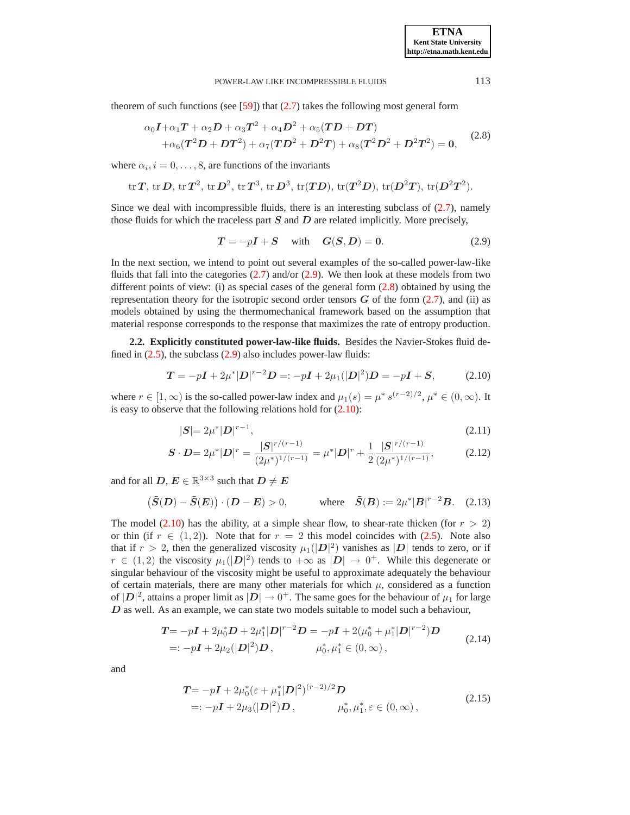<span id="page-3-1"></span>theorem of such functions (see  $[59]$ ) that  $(2.7)$  takes the following most general form

$$
\alpha_0 I + \alpha_1 T + \alpha_2 D + \alpha_3 T^2 + \alpha_4 D^2 + \alpha_5 (TD + DT) + \alpha_6 (T^2 D + DT^2) + \alpha_7 (TD^2 + D^2 T) + \alpha_8 (T^2 D^2 + D^2 T^2) = 0,
$$
 (2.8)

where  $\alpha_i$ ,  $i = 0, \ldots, 8$ , are functions of the invariants

$$
\mathrm{tr}\, T,\,\mathrm{tr}\, D,\,\mathrm{tr}\, T^2,\,\mathrm{tr}\, D^2,\,\mathrm{tr}\, T^3,\,\mathrm{tr}\, D^3,\,\mathrm{tr}(TD),\,\mathrm{tr}(T^2D),\,\mathrm{tr}(D^2T),\,\mathrm{tr}(D^2T^2).
$$

Since we deal with incompressible fluids, there is an interesting subclass of  $(2.7)$ , namely those fluids for which the traceless part  $S$  and  $D$  are related implicitly. More precisely,

$$
T = -pI + S \quad \text{with} \quad G(S, D) = 0. \tag{2.9}
$$

<span id="page-3-0"></span>In the next section, we intend to point out several examples of the so-called power-law-like fluids that fall into the categories  $(2.7)$  and/or  $(2.9)$ . We then look at these models from two different points of view: (i) as special cases of the general form  $(2.8)$  obtained by using the representation theory for the isotropic second order tensors  $G$  of the form [\(2.7\)](#page-2-4), and (ii) as models obtained by using the thermomechanical framework based on the assumption that material response corresponds to the response that maximizes the rate of entropy production.

**2.2. Explicitly constituted power-law-like fluids.** Besides the Navier-Stokes fluid defined in  $(2.5)$ , the subclass  $(2.9)$  also includes power-law fluids:

$$
T = -pI + 2\mu^*|D|^{r-2}D = -pI + 2\mu_1(|D|^2)D = -pI + S,
$$
 (2.10)

<span id="page-3-6"></span><span id="page-3-2"></span>where  $r \in [1, \infty)$  is the so-called power-law index and  $\mu_1(s) = \mu^* s^{(r-2)/2}, \mu^* \in (0, \infty)$ . It is easy to observe that the following relations hold for [\(2.10\)](#page-3-2):

$$
|S| = 2\mu^*|D|^{r-1},\tag{2.11}
$$

$$
\mathbf{S} \cdot \mathbf{D} = 2\mu^* |\mathbf{D}|^r = \frac{|\mathbf{S}|^{r/(r-1)}}{(2\mu^*)^{1/(r-1)}} = \mu^* |\mathbf{D}|^r + \frac{1}{2} \frac{|\mathbf{S}|^{r/(r-1)}}{(2\mu^*)^{1/(r-1)}},\tag{2.12}
$$

<span id="page-3-5"></span>and for all  $\boldsymbol{D},\boldsymbol{E}\in\mathbb{R}^{3\times3}$  such that  $\boldsymbol{D}\neq\boldsymbol{E}$ 

$$
\left(\tilde{S}(D) - \tilde{S}(E)\right) \cdot (D - E) > 0, \quad \text{where} \quad \tilde{S}(B) := 2\mu^*|B|^{r-2}B. \quad (2.13)
$$

The model [\(2.10\)](#page-3-2) has the ability, at a simple shear flow, to shear-rate thicken (for  $r > 2$ ) or thin (if  $r \in (1, 2)$ ). Note that for  $r = 2$  this model coincides with [\(2.5\)](#page-2-2). Note also that if  $r > 2$ , then the generalized viscosity  $\mu_1(|D|^2)$  vanishes as  $|D|$  tends to zero, or if  $r \in (1,2)$  the viscosity  $\mu_1(|D|^2)$  tends to  $+\infty$  as  $|D| \to 0^+$ . While this degenerate or singular behaviour of the viscosity might be useful to approximate adequately the behaviour of certain materials, there are many other materials for which  $\mu$ , considered as a function of  $|D|^2$ , attains a proper limit as  $|D| \to 0^+$ . The same goes for the behaviour of  $\mu_1$  for large  $D$  as well. As an example, we can state two models suitable to model such a behaviour,

$$
T = -pI + 2\mu_0^* D + 2\mu_1^* |D|^{r-2} D = -pI + 2(\mu_0^* + \mu_1^* |D|^{r-2}) D
$$
  
=:  $-pI + 2\mu_2(|D|^2) D$ ,  $\mu_0^*, \mu_1^* \in (0, \infty)$ , (2.14)

<span id="page-3-4"></span><span id="page-3-3"></span>and

$$
T = -pI + 2\mu_0^*(\varepsilon + \mu_1^*|D|^2)^{(r-2)/2}D
$$
  
=:  $-pI + 2\mu_3(|D|^2)D$ ,  $\mu_0^*, \mu_1^*, \varepsilon \in (0, \infty)$ , (2.15)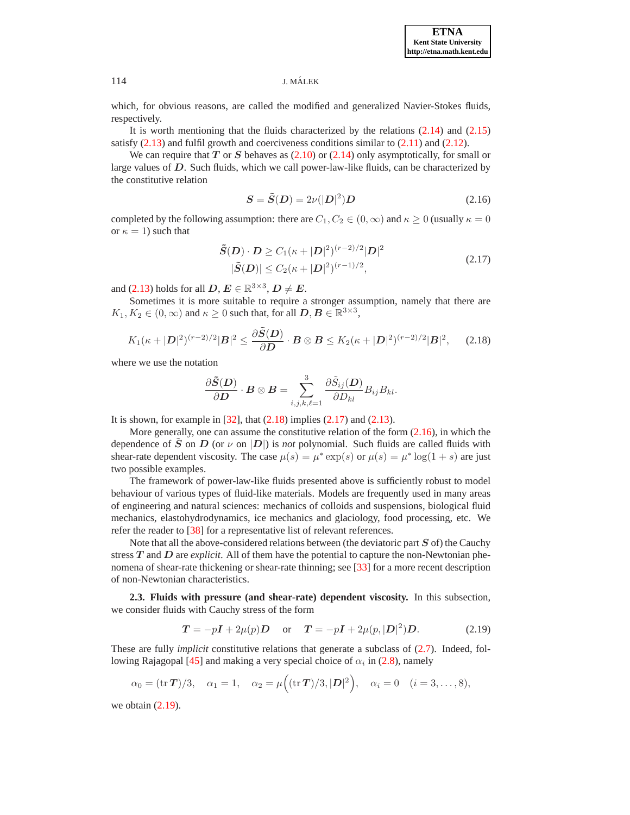which, for obvious reasons, are called the modified and generalized Navier-Stokes fluids, respectively.

It is worth mentioning that the fluids characterized by the relations [\(2.14\)](#page-3-3) and [\(2.15\)](#page-3-4) satisfy  $(2.13)$  and fulfil growth and coerciveness conditions similar to  $(2.11)$  and  $(2.12)$ .

We can require that T or S behaves as  $(2.10)$  or  $(2.14)$  only asymptotically, for small or large values of D. Such fluids, which we call power-law-like fluids, can be characterized by the constitutive relation

$$
S = \tilde{S}(D) = 2\nu(|D|^2)D\tag{2.16}
$$

<span id="page-4-2"></span>completed by the following assumption: there are  $C_1, C_2 \in (0, \infty)$  and  $\kappa \geq 0$  (usually  $\kappa = 0$ ) or  $\kappa = 1$ ) such that

$$
\tilde{S}(D) \cdot D \ge C_1(\kappa + |D|^2)^{(r-2)/2} |D|^2
$$
  
 
$$
|\tilde{S}(D)| \le C_2(\kappa + |D|^2)^{(r-1)/2},
$$
 (2.17)

<span id="page-4-1"></span>and [\(2.13\)](#page-3-5) holds for all  $D, E \in \mathbb{R}^{3 \times 3}, D \neq E$ .

Sometimes it is more suitable to require a stronger assumption, namely that there are  $K_1, K_2 \in (0, \infty)$  and  $\kappa \ge 0$  such that, for all  $D, B \in \mathbb{R}^{3 \times 3}$ ,

$$
K_1(\kappa+|\mathbf{D}|^2)^{(r-2)/2}|\mathbf{B}|^2 \leq \frac{\partial \tilde{\mathbf{S}}(\mathbf{D})}{\partial \mathbf{D}} \cdot \mathbf{B} \otimes \mathbf{B} \leq K_2(\kappa+|\mathbf{D}|^2)^{(r-2)/2}|\mathbf{B}|^2, \qquad (2.18)
$$

<span id="page-4-0"></span>where we use the notation

$$
\frac{\partial \tilde{\bm{S}}(\bm{D})}{\partial \bm{D}}\cdot \bm{B}\otimes \bm{B}=\sum_{i,j,k,\ell=1}^3 \frac{\partial \tilde{S}_{ij}(\bm{D})}{\partial D_{kl}}B_{ij}B_{kl}.
$$

It is shown, for example in  $[32]$ , that  $(2.18)$  implies  $(2.17)$  and  $(2.13)$ .

More generally, one can assume the constitutive relation of the form  $(2.16)$ , in which the dependence of S on D (or  $\nu$  on  $|D|$ ) is *not* polynomial. Such fluids are called fluids with shear-rate dependent viscosity. The case  $\mu(s) = \mu^* \exp(s)$  or  $\mu(s) = \mu^* \log(1+s)$  are just two possible examples.

The framework of power-law-like fluids presented above is sufficiently robust to model behaviour of various types of fluid-like materials. Models are frequently used in many areas of engineering and natural sciences: mechanics of colloids and suspensions, biological fluid mechanics, elastohydrodynamics, ice mechanics and glaciology, food processing, etc. We refer the reader to [\[38\]](#page-14-7) for a representative list of relevant references.

Note that all the above-considered relations between (the deviatoric part  $S$  of) the Cauchy stress T and D are *explicit*. All of them have the potential to capture the non-Newtonian phenomena of shear-rate thickening or shear-rate thinning; see [\[33\]](#page-14-5) for a more recent description of non-Newtonian characteristics.

**2.3. Fluids with pressure (and shear-rate) dependent viscosity.** In this subsection, we consider fluids with Cauchy stress of the form

$$
T = -pI + 2\mu(p)D
$$
 or  $T = -pI + 2\mu(p, |D|^2)D$ . (2.19)

<span id="page-4-3"></span>These are fully *implicit* constitutive relations that generate a subclass of [\(2.7\)](#page-2-4). Indeed, fol-lowing Rajagopal [\[45\]](#page-15-5) and making a very special choice of  $\alpha_i$  in [\(2.8\)](#page-3-1), namely

$$
\alpha_0 = (\text{tr } T)/3, \quad \alpha_1 = 1, \quad \alpha_2 = \mu((\text{tr } T)/3, |\mathbf{D}|^2), \quad \alpha_i = 0 \quad (i = 3, \dots, 8),
$$

we obtain [\(2.19\)](#page-4-3).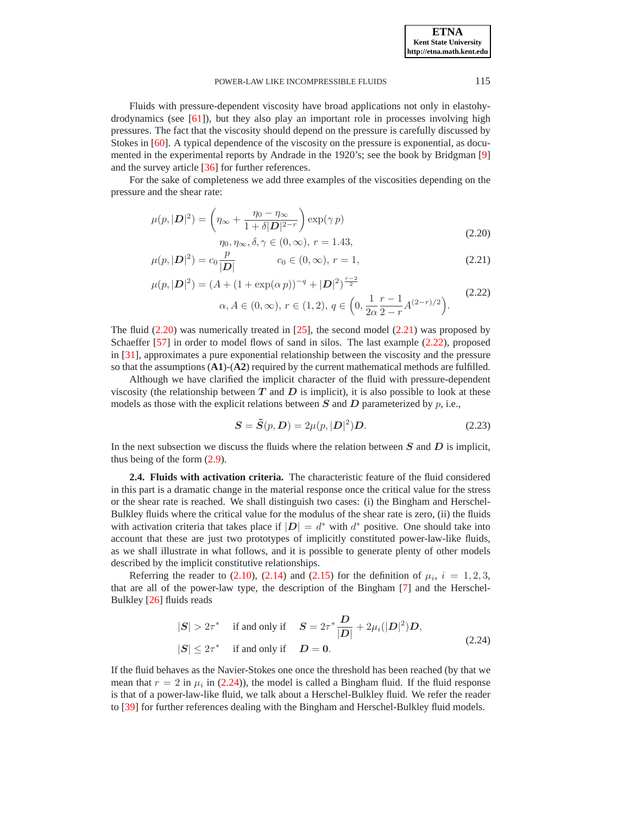**ETNA Kent State University http://etna.math.kent.edu**

#### POWER-LAW LIKE INCOMPRESSIBLE FLUIDS 115

Fluids with pressure-dependent viscosity have broad applications not only in elastohydrodynamics (see [\[61\]](#page-15-17)), but they also play an important role in processes involving high pressures. The fact that the viscosity should depend on the pressure is carefully discussed by Stokes in [\[60\]](#page-15-18). A typical dependence of the viscosity on the pressure is exponential, as documented in the experimental reports by Andrade in the 1920's; see the book by Bridgman [\[9\]](#page-13-1) and the survey article [\[36\]](#page-14-8) for further references.

<span id="page-5-0"></span>For the sake of completeness we add three examples of the viscosities depending on the pressure and the shear rate:

$$
\mu(p, |\mathbf{D}|^2) = \left(\eta_{\infty} + \frac{\eta_0 - \eta_{\infty}}{1 + \delta |\mathbf{D}|^{2-r}}\right) \exp(\gamma p)
$$
  

$$
\eta_0, \eta_{\infty}, \delta, \gamma \in (0, \infty), r = 1.43,
$$
 (2.20)

$$
\mu(p, |\mathbf{D}|^2) = c_0 \frac{p}{|\mathbf{D}|} \qquad c_0 \in (0, \infty), r = 1,
$$
\n(2.21)

$$
\mu(p, |\mathbf{D}|^2) = (A + (1 + \exp(\alpha p))^{-q} + |\mathbf{D}|^2)^{\frac{r-2}{2}}\n\alpha, A \in (0, \infty), r \in (1, 2), q \in \left(0, \frac{1}{2\alpha} \frac{r-1}{2-r} A^{(2-r)/2}\right).
$$
\n(2.22)

The fluid  $(2.20)$  was numerically treated in  $[25]$ , the second model  $(2.21)$  was proposed by Schaeffer [\[57\]](#page-15-19) in order to model flows of sand in silos. The last example [\(2.22\)](#page-5-0), proposed in [\[31\]](#page-14-10), approximates a pure exponential relationship between the viscosity and the pressure so that the assumptions (**A1**)-(**A2**) required by the current mathematical methods are fulfilled.

Although we have clarified the implicit character of the fluid with pressure-dependent viscosity (the relationship between  $T$  and  $D$  is implicit), it is also possible to look at these models as those with the explicit relations between S and D parameterized by  $p$ , i.e.,

$$
\mathbf{S} = \tilde{\mathbf{S}}(p, \mathbf{D}) = 2\mu(p, |\mathbf{D}|^2)\mathbf{D}.
$$
 (2.23)

<span id="page-5-2"></span>In the next subsection we discuss the fluids where the relation between  $S$  and  $D$  is implicit, thus being of the form [\(2.9\)](#page-3-0).

**2.4. Fluids with activation criteria.** The characteristic feature of the fluid considered in this part is a dramatic change in the material response once the critical value for the stress or the shear rate is reached. We shall distinguish two cases: (i) the Bingham and Herschel-Bulkley fluids where the critical value for the modulus of the shear rate is zero, (ii) the fluids with activation criteria that takes place if  $|D| = d^*$  with  $d^*$  positive. One should take into account that these are just two prototypes of implicitly constituted power-law-like fluids, as we shall illustrate in what follows, and it is possible to generate plenty of other models described by the implicit constitutive relationships.

Referring the reader to [\(2.10\)](#page-3-2), [\(2.14\)](#page-3-3) and [\(2.15\)](#page-3-4) for the definition of  $\mu_i$ ,  $i = 1, 2, 3$ , that are all of the power-law type, the description of the Bingham [\[7\]](#page-13-2) and the Herschel-Bulkley [\[26\]](#page-14-11) fluids reads

$$
|S| > 2\tau^* \quad \text{if and only if} \quad S = 2\tau^* \frac{D}{|D|} + 2\mu_i(|D|^2)D,
$$
  

$$
|S| \le 2\tau^* \quad \text{if and only if} \quad D = 0.
$$
 (2.24)

<span id="page-5-1"></span>If the fluid behaves as the Navier-Stokes one once the threshold has been reached (by that we mean that  $r = 2$  in  $\mu_i$  in [\(2.24\)](#page-5-1)), the model is called a Bingham fluid. If the fluid response is that of a power-law-like fluid, we talk about a Herschel-Bulkley fluid. We refer the reader to [\[39\]](#page-14-12) for further references dealing with the Bingham and Herschel-Bulkley fluid models.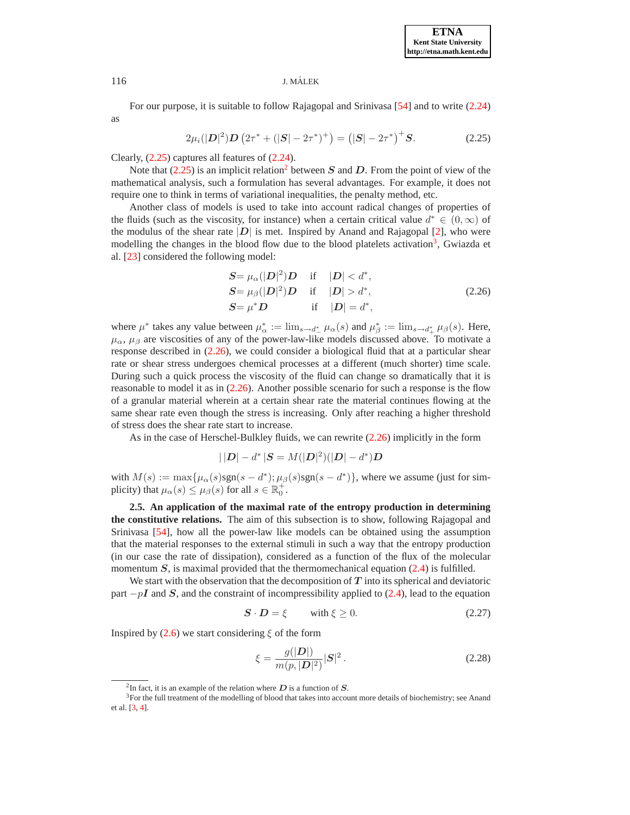For our purpose, it is suitable to follow Rajagopal and Srinivasa [\[54\]](#page-15-3) and to write [\(2.24\)](#page-5-1) as

$$
2\mu_i(|\mathbf{D}|^2)\mathbf{D}\left(2\tau^* + (|\mathbf{S}| - 2\tau^*)^+\right) = (|\mathbf{S}| - 2\tau^*)^+ \mathbf{S}.
$$
 (2.25)

<span id="page-6-0"></span>Clearly, [\(2.25\)](#page-6-0) captures all features of [\(2.24\)](#page-5-1).

Note that  $(2.25)$  $(2.25)$  $(2.25)$  is an implicit relation<sup>2</sup> between S and D. From the point of view of the mathematical analysis, such a formulation has several advantages. For example, it does not require one to think in terms of variational inequalities, the penalty method, etc.

Another class of models is used to take into account radical changes of properties of the fluids (such as the viscosity, for instance) when a certain critical value  $d^* \in (0,\infty)$  of the modulus of the shear rate  $|D|$  is met. Inspired by Anand and Rajagopal [\[2\]](#page-13-3), who were modelling the changes in the blood flow due to the blood platelets activation<sup>[3](#page-6-2)</sup>, Gwiazda et al. [\[23\]](#page-14-13) considered the following model:

$$
S = \mu_{\alpha}(|D|^2)D \quad \text{if} \quad |D| < d^*,
$$
  
\n
$$
S = \mu_{\beta}(|D|^2)D \quad \text{if} \quad |D| > d^*,
$$
  
\n
$$
S = \mu^*D \quad \text{if} \quad |D| = d^*,
$$
\n(2.26)

<span id="page-6-3"></span>where  $\mu^*$  takes any value between  $\mu^*_{\alpha} := \lim_{s \to d^*_-} \mu_{\alpha}(s)$  and  $\mu^*_{\beta} := \lim_{s \to d^*_-} \mu_{\beta}(s)$ . Here,  $\mu_{\alpha}$ ,  $\mu_{\beta}$  are viscosities of any of the power-law-like models discussed above. To motivate a response described in [\(2.26\)](#page-6-3), we could consider a biological fluid that at a particular shear rate or shear stress undergoes chemical processes at a different (much shorter) time scale. During such a quick process the viscosity of the fluid can change so dramatically that it is reasonable to model it as in [\(2.26\)](#page-6-3). Another possible scenario for such a response is the flow of a granular material wherein at a certain shear rate the material continues flowing at the same shear rate even though the stress is increasing. Only after reaching a higher threshold of stress does the shear rate start to increase.

As in the case of Herschel-Bulkley fluids, we can rewrite [\(2.26\)](#page-6-3) implicitly in the form

$$
|\,|\bm{D}|-d^*\,|\bm{S}=M(|\bm{D}|^2)(|\bm{D}|-d^*)\bm{D}
$$

with  $M(s) := \max{\mu_\alpha(s) \operatorname{sgn}(s - d^*)}; \mu_\beta(s) \operatorname{sgn}(s - d^*)}$ , where we assume (just for simplicity) that  $\mu_{\alpha}(s) \leq \mu_{\beta}(s)$  for all  $s \in \mathbb{R}_0^+$ .

**2.5. An application of the maximal rate of the entropy production in determining the constitutive relations.** The aim of this subsection is to show, following Rajagopal and Srinivasa [\[54\]](#page-15-3), how all the power-law like models can be obtained using the assumption that the material responses to the external stimuli in such a way that the entropy production (in our case the rate of dissipation), considered as a function of the flux of the molecular momentum  $S$ , is maximal provided that the thermomechanical equation [\(2.4\)](#page-2-3) is fulfilled.

We start with the observation that the decomposition of  $T$  into its spherical and deviatoric part  $-pI$  and S, and the constraint of incompressibility applied to [\(2.4\)](#page-2-3), lead to the equation

$$
S \cdot D = \xi \qquad \text{with } \xi \ge 0. \tag{2.27}
$$

<span id="page-6-5"></span>Inspired by  $(2.6)$  we start considering  $\xi$  of the form

$$
\xi = \frac{g(|D|)}{m(p, |D|^2)} |S|^2. \tag{2.28}
$$

<span id="page-6-4"></span><sup>&</sup>lt;sup>2</sup>In fact, it is an example of the relation where  $D$  is a function of  $S$ .

<span id="page-6-2"></span><span id="page-6-1"></span> $3$ For the full treatment of the modelling of blood that takes into account more details of biochemistry; see Anand et al. [\[3,](#page-13-4) [4\]](#page-13-5).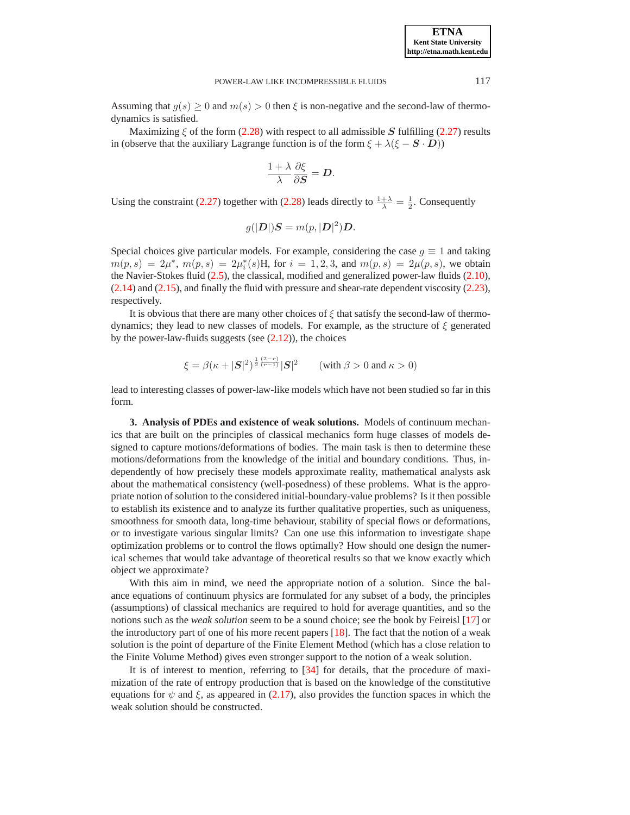Assuming that  $g(s) \ge 0$  and  $m(s) > 0$  then  $\xi$  is non-negative and the second-law of thermodynamics is satisfied.

Maximizing  $\xi$  of the form [\(2.28\)](#page-6-4) with respect to all admissible S fulfilling [\(2.27\)](#page-6-5) results in (observe that the auxiliary Lagrange function is of the form  $\xi + \lambda(\xi - S \cdot D)$ )

$$
\frac{1+\lambda}{\lambda}\frac{\partial \xi}{\partial \mathbf{S}}=\mathbf{D}.
$$

Using the constraint [\(2.27\)](#page-6-5) together with [\(2.28\)](#page-6-4) leads directly to  $\frac{1+\lambda}{\lambda} = \frac{1}{2}$ . Consequently

$$
g(|D|)S = m(p, |D|^2)D.
$$

Special choices give particular models. For example, considering the case  $g \equiv 1$  and taking  $m(p, s) = 2\mu^*, m(p, s) = 2\mu_i^*(s)H$ , for  $i = 1, 2, 3$ , and  $m(p, s) = 2\mu(p, s)$ , we obtain the Navier-Stokes fluid [\(2.5\)](#page-2-2), the classical, modified and generalized power-law fluids [\(2.10\)](#page-3-2), [\(2.14\)](#page-3-3) and [\(2.15\)](#page-3-4), and finally the fluid with pressure and shear-rate dependent viscosity [\(2.23\)](#page-5-2), respectively.

It is obvious that there are many other choices of  $\xi$  that satisfy the second-law of thermodynamics; they lead to new classes of models. For example, as the structure of  $\xi$  generated by the power-law-fluids suggests (see [\(2.12\)](#page-3-6)), the choices

$$
\xi = \beta(\kappa + |\mathbf{S}|^2)^{\frac{1}{2}\frac{(2-r)}{(r-1)}}|\mathbf{S}|^2 \qquad (\text{with } \beta > 0 \text{ and } \kappa > 0)
$$

lead to interesting classes of power-law-like models which have not been studied so far in this form.

<span id="page-7-0"></span>**3. Analysis of PDEs and existence of weak solutions.** Models of continuum mechanics that are built on the principles of classical mechanics form huge classes of models designed to capture motions/deformations of bodies. The main task is then to determine these motions/deformations from the knowledge of the initial and boundary conditions. Thus, independently of how precisely these models approximate reality, mathematical analysts ask about the mathematical consistency (well-posedness) of these problems. What is the appropriate notion of solution to the considered initial-boundary-value problems? Is it then possible to establish its existence and to analyze its further qualitative properties, such as uniqueness, smoothness for smooth data, long-time behaviour, stability of special flows or deformations, or to investigate various singular limits? Can one use this information to investigate shape optimization problems or to control the flows optimally? How should one design the numerical schemes that would take advantage of theoretical results so that we know exactly which object we approximate?

With this aim in mind, we need the appropriate notion of a solution. Since the balance equations of continuum physics are formulated for any subset of a body, the principles (assumptions) of classical mechanics are required to hold for average quantities, and so the notions such as the *weak solution* seem to be a sound choice; see the book by Feireisl [\[17\]](#page-14-14) or the introductory part of one of his more recent papers  $[18]$ . The fact that the notion of a weak solution is the point of departure of the Finite Element Method (which has a close relation to the Finite Volume Method) gives even stronger support to the notion of a weak solution.

It is of interest to mention, referring to [\[34\]](#page-14-3) for details, that the procedure of maximization of the rate of entropy production that is based on the knowledge of the constitutive equations for  $\psi$  and  $\xi$ , as appeared in [\(2.17\)](#page-4-1), also provides the function spaces in which the weak solution should be constructed.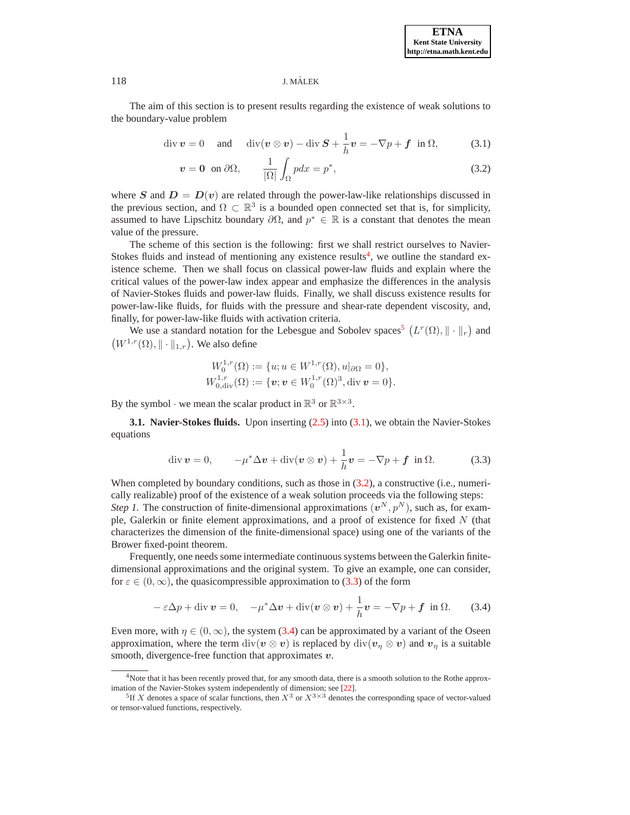#### 118 J. MALEK ´

<span id="page-8-2"></span>The aim of this section is to present results regarding the existence of weak solutions to the boundary-value problem

$$
\operatorname{div} \boldsymbol{v} = 0 \quad \text{and} \quad \operatorname{div} (\boldsymbol{v} \otimes \boldsymbol{v}) - \operatorname{div} \boldsymbol{S} + \frac{1}{h} \boldsymbol{v} = -\nabla p + \boldsymbol{f} \quad \text{in } \Omega, \tag{3.1}
$$

$$
v = 0 \text{ on } \partial\Omega, \qquad \frac{1}{|\Omega|} \int_{\Omega} p dx = p^*, \qquad (3.2)
$$

where S and  $D = D(v)$  are related through the power-law-like relationships discussed in the previous section, and  $\Omega \subset \mathbb{R}^3$  is a bounded open connected set that is, for simplicity, assumed to have Lipschitz boundary  $\partial\Omega$ , and  $p^* \in \mathbb{R}$  is a constant that denotes the mean value of the pressure.

The scheme of this section is the following: first we shall restrict ourselves to Navier-Stokes fluids and instead of mentioning any existence results<sup>[4](#page-8-0)</sup>, we outline the standard existence scheme. Then we shall focus on classical power-law fluids and explain where the critical values of the power-law index appear and emphasize the differences in the analysis of Navier-Stokes fluids and power-law fluids. Finally, we shall discuss existence results for power-law-like fluids, for fluids with the pressure and shear-rate dependent viscosity, and, finally, for power-law-like fluids with activation criteria.

We use a standard notation for the Lebesgue and Sobolev spaces<sup>[5](#page-8-1)</sup>  $(L^r(\Omega), \|\cdot\|_r)$  and  $(W^{1,r}(\Omega), \|\cdot\|_{1,r})$ . We also define

$$
W_0^{1,r}(\Omega) := \{u; u \in W^{1,r}(\Omega), u|_{\partial\Omega} = 0\},
$$
  
\n
$$
W_{0,\text{div}}^{1,r}(\Omega) := \{v; v \in W_0^{1,r}(\Omega)^3, \text{div } v = 0\}.
$$

By the symbol  $\cdot$  we mean the scalar product in  $\mathbb{R}^3$  or  $\mathbb{R}^{3 \times 3}$ .

Brower fixed-point theorem.

**3.1. Navier-Stokes fluids.** Upon inserting [\(2.5\)](#page-2-2) into [\(3.1\)](#page-8-2), we obtain the Navier-Stokes equations

$$
\operatorname{div} \boldsymbol{v} = 0, \qquad -\mu^* \Delta \boldsymbol{v} + \operatorname{div} (\boldsymbol{v} \otimes \boldsymbol{v}) + \frac{1}{h} \boldsymbol{v} = -\nabla p + \boldsymbol{f} \quad \text{in } \Omega. \tag{3.3}
$$

<span id="page-8-3"></span>When completed by boundary conditions, such as those in  $(3.2)$ , a constructive (i.e., numerically realizable) proof of the existence of a weak solution proceeds via the following steps: *Step 1*. The construction of finite-dimensional approximations  $(v^N, p^N)$ , such as, for example, Galerkin or finite element approximations, and a proof of existence for fixed N (that characterizes the dimension of the finite-dimensional space) using one of the variants of the

Frequently, one needs some intermediate continuous systems between the Galerkin finitedimensional approximations and the original system. To give an example, one can consider, for  $\varepsilon \in (0,\infty)$ , the quasicompressible approximation to [\(3.3\)](#page-8-3) of the form

$$
-\varepsilon\Delta p + \text{div}\,\mathbf{v} = 0, \quad -\mu^*\Delta\mathbf{v} + \text{div}(\mathbf{v}\otimes\mathbf{v}) + \frac{1}{h}\mathbf{v} = -\nabla p + \mathbf{f} \text{ in } \Omega. \tag{3.4}
$$

<span id="page-8-4"></span>Even more, with  $\eta \in (0,\infty)$ , the system [\(3.4\)](#page-8-4) can be approximated by a variant of the Oseen approximation, where the term div( $v \otimes v$ ) is replaced by div( $v<sub>\eta</sub> \otimes v$ ) and  $v<sub>\eta</sub>$  is a suitable smooth, divergence-free function that approximates  $v$ .

<sup>&</sup>lt;sup>4</sup>Note that it has been recently proved that, for any smooth data, there is a smooth solution to the Rothe approximation of the Navier-Stokes system independently of dimension; see [\[22\]](#page-14-16).

<span id="page-8-1"></span><span id="page-8-0"></span><sup>&</sup>lt;sup>5</sup>If X denotes a space of scalar functions, then  $X^3$  or  $X^{3\times 3}$  denotes the corresponding space of vector-valued or tensor-valued functions, respectively.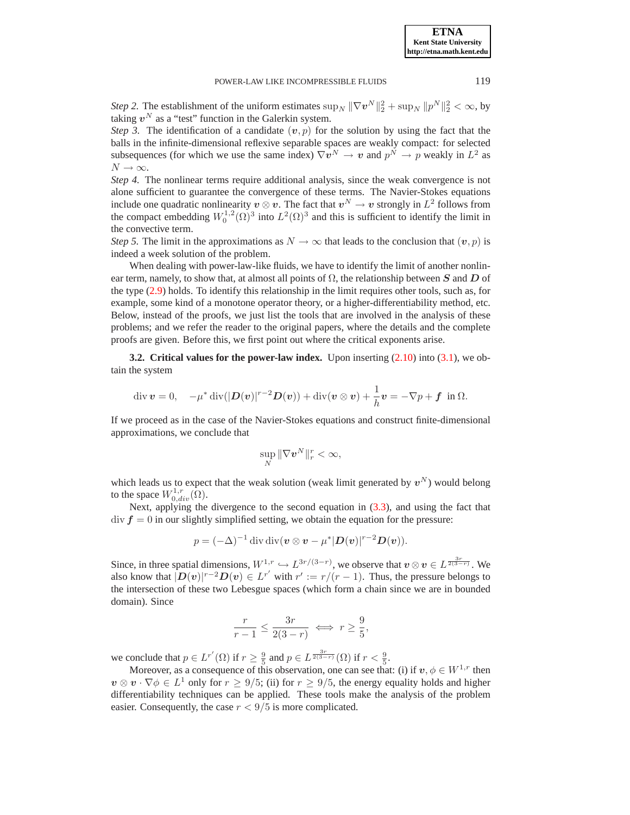*Step 2.* The establishment of the uniform estimates  $\sup_N \|\nabla v^N\|_2^2 + \sup_N \|p^N\|_2^2 < \infty$ , by taking  $v^N$  as a "test" function in the Galerkin system.

*Step 3.* The identification of a candidate  $(v, p)$  for the solution by using the fact that the balls in the infinite-dimensional reflexive separable spaces are weakly compact: for selected subsequences (for which we use the same index)  $\nabla v^N \to v$  and  $p^N \to p$  weakly in  $L^2$  as  $N \to \infty$ .

*Step 4.* The nonlinear terms require additional analysis, since the weak convergence is not alone sufficient to guarantee the convergence of these terms. The Navier-Stokes equations include one quadratic nonlinearity  $v \otimes v$ . The fact that  $v^N \to v$  strongly in  $L^2$  follows from the compact embedding  $W_0^{1,2}(\Omega)^3$  into  $L^2(\Omega)^3$  and this is sufficient to identify the limit in the convective term.

*Step 5.* The limit in the approximations as  $N \to \infty$  that leads to the conclusion that  $(v, p)$  is indeed a week solution of the problem.

When dealing with power-law-like fluids, we have to identify the limit of another nonlinear term, namely, to show that, at almost all points of  $\Omega$ , the relationship between S and D of the type [\(2.9\)](#page-3-0) holds. To identify this relationship in the limit requires other tools, such as, for example, some kind of a monotone operator theory, or a higher-differentiability method, etc. Below, instead of the proofs, we just list the tools that are involved in the analysis of these problems; and we refer the reader to the original papers, where the details and the complete proofs are given. Before this, we first point out where the critical exponents arise.

**3.2. Critical values for the power-law index.** Upon inserting [\(2.10\)](#page-3-2) into [\(3.1\)](#page-8-2), we obtain the system

$$
\operatorname{div} \boldsymbol{v} = 0, \quad -\mu^* \operatorname{div}(|\boldsymbol{D}(\boldsymbol{v})|^{r-2}\boldsymbol{D}(\boldsymbol{v})) + \operatorname{div}(\boldsymbol{v} \otimes \boldsymbol{v}) + \frac{1}{h}\boldsymbol{v} = -\nabla p + \boldsymbol{f} \text{ in } \Omega.
$$

If we proceed as in the case of the Navier-Stokes equations and construct finite-dimensional approximations, we conclude that

$$
\sup_N \|\nabla \boldsymbol{v}^N\|_r^r < \infty,
$$

which leads us to expect that the weak solution (weak limit generated by  $v^N$ ) would belong to the space  $W^{1,r}_{0,div}(\Omega)$ .

Next, applying the divergence to the second equation in  $(3.3)$ , and using the fact that  $div f = 0$  in our slightly simplified setting, we obtain the equation for the pressure:

$$
p=(-\Delta)^{-1}\operatorname{div}\operatorname{div}(\boldsymbol{v}\otimes\boldsymbol{v}-\mu^*|\boldsymbol{D}(\boldsymbol{v})|^{r-2}\boldsymbol{D}(\boldsymbol{v})).
$$

Since, in three spatial dimensions,  $W^{1,r} \hookrightarrow L^{3r/(3-r)}$ , we observe that  $v \otimes v \in L^{\frac{3r}{2(3-r)}}$ . We also know that  $|D(v)|^{r-2}D(v) \in L^{r'}$  with  $r' := r/(r-1)$ . Thus, the pressure belongs to the intersection of these two Lebesgue spaces (which form a chain since we are in bounded domain). Since

$$
\frac{r}{r-1} \le \frac{3r}{2(3-r)} \iff r \ge \frac{9}{5},
$$

we conclude that  $p \in L^{r'}(\Omega)$  if  $r \ge \frac{9}{5}$  and  $p \in L^{\frac{3r}{2(3-r)}}(\Omega)$  if  $r < \frac{9}{5}$ .

Moreover, as a consequence of this observation, one can see that: (i) if  $v, \phi \in W^{1,r}$  then  $v \otimes v \cdot \nabla \phi \in L^1$  only for  $r \ge 9/5$ ; (ii) for  $r \ge 9/5$ , the energy equality holds and higher differentiability techniques can be applied. These tools make the analysis of the problem easier. Consequently, the case  $r < 9/5$  is more complicated.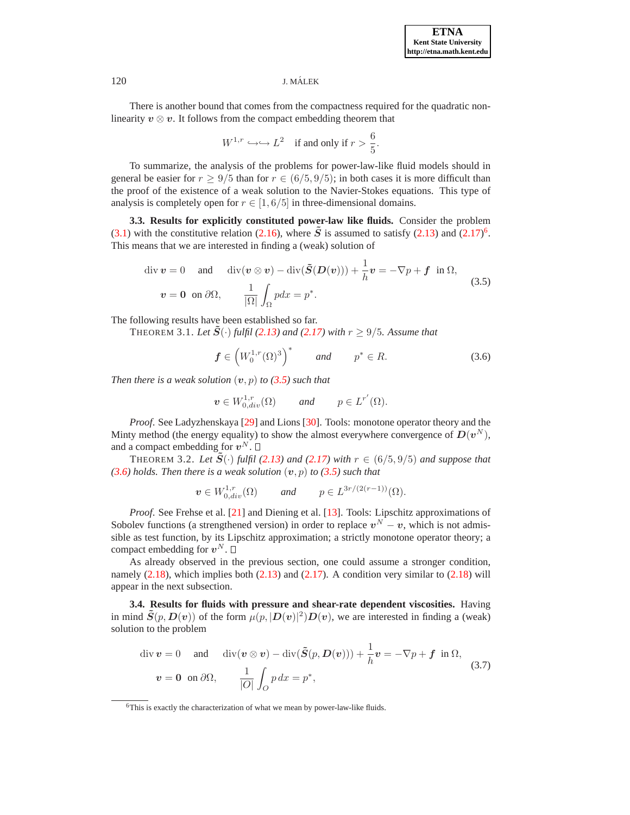## 120 J. MALEK ´

There is another bound that comes from the compactness required for the quadratic nonlinearity  $v \otimes v$ . It follows from the compact embedding theorem that

$$
W^{1,r} \hookrightarrow L^2
$$
 if and only if  $r > \frac{6}{5}$ .

To summarize, the analysis of the problems for power-law-like fluid models should in general be easier for  $r \ge 9/5$  than for  $r \in (6/5, 9/5)$ ; in both cases it is more difficult than the proof of the existence of a weak solution to the Navier-Stokes equations. This type of analysis is completely open for  $r \in [1, 6/5]$  in three-dimensional domains.

<span id="page-10-1"></span>**3.3. Results for explicitly constituted power-law like fluids.** Consider the problem [\(3.1\)](#page-8-2) with the constitutive relation [\(2.16\)](#page-4-2), where  $\tilde{S}$  is assumed to satisfy [\(2.13\)](#page-3-5) and [\(2.17\)](#page-4-1)<sup>[6](#page-10-0)</sup>. This means that we are interested in finding a (weak) solution of

$$
\text{div } \mathbf{v} = 0 \quad \text{and} \quad \text{div}(\mathbf{v} \otimes \mathbf{v}) - \text{div}(\tilde{\mathbf{S}}(\mathbf{D}(\mathbf{v}))) + \frac{1}{h}\mathbf{v} = -\nabla p + \mathbf{f} \text{ in } \Omega,
$$
\n
$$
\mathbf{v} = \mathbf{0} \text{ on } \partial \Omega, \qquad \frac{1}{|\Omega|} \int_{\Omega} p dx = p^*.
$$
\n(3.5)

The following results have been established so far.

<span id="page-10-2"></span>THEOREM 3.1. Let  $\tilde{S}(\cdot)$  fulfil [\(2.13\)](#page-3-5) and [\(2.17\)](#page-4-1) with  $r \geq 9/5$ . Assume that

$$
\boldsymbol{f} \in \left(W_0^{1,r}(\Omega)^3\right)^* \qquad \text{and} \qquad p^* \in R. \tag{3.6}
$$

*Then there is a weak solution*  $(v, p)$  *to* [\(3.5\)](#page-10-1) *such that* 

$$
\boldsymbol{v} \in W^{1,r}_{0,div}(\Omega) \qquad \text{and} \qquad p \in L^{r'}(\Omega).
$$

*Proof*. See Ladyzhenskaya [\[29\]](#page-14-17) and Lions [\[30\]](#page-14-18). Tools: monotone operator theory and the Minty method (the energy equality) to show the almost everywhere convergence of  $D(v^N)$ , and a compact embedding for  $v^N$ .

THEOREM 3.2. Let  $\tilde{S}(\cdot)$  fulfil [\(2.13\)](#page-3-5) and [\(2.17\)](#page-4-1) with  $r \in (6/5, 9/5)$  and suppose that  $(3.6)$  *holds. Then there is a weak solution*  $(v, p)$  *to*  $(3.5)$  *such that* 

$$
\boldsymbol{v} \in W^{1,r}_{0,div}(\Omega) \qquad \text{and} \qquad p \in L^{3r/(2(r-1))}(\Omega).
$$

*Proof*. See Frehse et al. [\[21\]](#page-14-19) and Diening et al. [\[13\]](#page-14-20). Tools: Lipschitz approximations of Sobolev functions (a strengthened version) in order to replace  $v^N - v$ , which is not admissible as test function, by its Lipschitz approximation; a strictly monotone operator theory; a compact embedding for  $v^N$ .

As already observed in the previous section, one could assume a stronger condition, namely  $(2.18)$ , which implies both  $(2.13)$  and  $(2.17)$ . A condition very similar to  $(2.18)$  will appear in the next subsection.

<span id="page-10-3"></span>**3.4. Results for fluids with pressure and shear-rate dependent viscosities.** Having in mind  $\tilde{S}(p, D(v))$  of the form  $\mu(p, |D(v)|^2)D(v)$ , we are interested in finding a (weak) solution to the problem

$$
\text{div } \mathbf{v} = 0 \quad \text{and} \quad \text{div}(\mathbf{v} \otimes \mathbf{v}) - \text{div}(\tilde{\mathbf{S}}(p, \mathbf{D}(\mathbf{v}))) + \frac{1}{h} \mathbf{v} = -\nabla p + \mathbf{f} \text{ in } \Omega,
$$
\n
$$
\mathbf{v} = \mathbf{0} \text{ on } \partial \Omega, \qquad \frac{1}{|O|} \int_{O} p \, dx = p^*,
$$
\n(3.7)

<span id="page-10-0"></span><sup>&</sup>lt;sup>6</sup>This is exactly the characterization of what we mean by power-law-like fluids.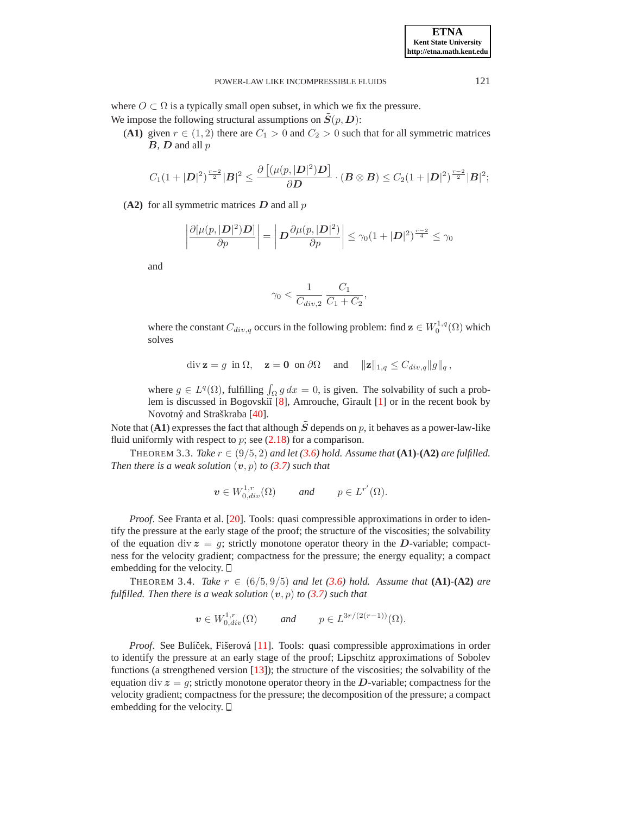where  $O \subset \Omega$  is a typically small open subset, in which we fix the pressure. We impose the following structural assumptions on  $\tilde{S}(p, D)$ :

(A1) given  $r \in (1, 2)$  there are  $C_1 > 0$  and  $C_2 > 0$  such that for all symmetric matrices  **and all**  $p$ 

$$
C_1(1+|D|^2)^{\frac{r-2}{2}}|B|^2 \leq \frac{\partial \left[ (\mu(p,|D|^2)D\right]}{\partial D} \cdot (B \otimes B) \leq C_2(1+|D|^2)^{\frac{r-2}{2}}|B|^2;
$$

 $(A2)$  for all symmetric matrices  $D$  and all  $p$ 

$$
\left|\frac{\partial[\mu(p,|\mathbf{D}|^2)\mathbf{D}]}{\partial p}\right| = \left|\mathbf{D}\frac{\partial\mu(p,|\mathbf{D}|^2)}{\partial p}\right| \leq \gamma_0(1+|\mathbf{D}|^2)^{\frac{r-2}{4}} \leq \gamma_0
$$

and

$$
\gamma_0 < \frac{1}{C_{div,2}}\,\frac{C_1}{C_1+C_2},
$$

where the constant  $C_{div,q}$  occurs in the following problem: find  $\mathbf{z} \in W_0^{1,q}(\Omega)$  which solves

$$
\operatorname{div} \mathbf{z} = g \text{ in } \Omega, \quad \mathbf{z} = \mathbf{0} \text{ on } \partial \Omega \quad \text{ and } \quad \|\mathbf{z}\|_{1,q} \leq C_{div,q} \|g\|_{q},
$$

where  $g \in L^q(\Omega)$ , fulfilling  $\int_{\Omega} g \, dx = 0$ , is given. The solvability of such a prob-lem is discussed in Bogovskiĭ [\[8\]](#page-13-6), Amrouche, Girault [\[1\]](#page-13-7) or in the recent book by Novotný and Straškraba [[40\]](#page-15-20).

Note that (A1) expresses the fact that although  $\tilde{S}$  depends on p, it behaves as a power-law-like fluid uniformly with respect to  $p$ ; see  $(2.18)$  for a comparison.

THEOREM 3.3. *Take*  $r \in (9/5, 2)$  *and let* [\(3.6\)](#page-10-2) *hold.* Assume that (A1) $\cdot$ (A2) are fulfilled. *Then there is a weak solution*  $(v, p)$  *to* [\(3.7\)](#page-10-3) *such that* 

$$
\boldsymbol{v} \in W^{1,r}_{0,div}(\Omega) \qquad \text{and} \qquad p \in L^{r'}(\Omega).
$$

*Proof*. See Franta et al. [\[20\]](#page-14-21). Tools: quasi compressible approximations in order to identify the pressure at the early stage of the proof; the structure of the viscosities; the solvability of the equation div  $z = g$ ; strictly monotone operator theory in the D-variable; compactness for the velocity gradient; compactness for the pressure; the energy equality; a compact embedding for the velocity.  $\Box$ 

**THEOREM** 3.4. *Take*  $r \text{ ∈ } (6/5, 9/5)$  *and let* [\(3.6\)](#page-10-2) *hold.* Assume that (A1)<sup></sup>-(A2) are *fulfilled. Then there is a weak solution*  $(v, p)$  *to*  $(3.7)$  *such that* 

$$
\boldsymbol{v} \in W^{1,r}_{0,div}(\Omega) \qquad \text{and} \qquad p \in L^{3r/(2(r-1))}(\Omega).
$$

*Proof.* See Bulíček, Fišerová [[11\]](#page-13-8). Tools: quasi compressible approximations in order to identify the pressure at an early stage of the proof; Lipschitz approximations of Sobolev functions (a strengthened version  $[13]$ ); the structure of the viscosities; the solvability of the equation div  $z = g$ ; strictly monotone operator theory in the D-variable; compactness for the velocity gradient; compactness for the pressure; the decomposition of the pressure; a compact embedding for the velocity.  $\Box$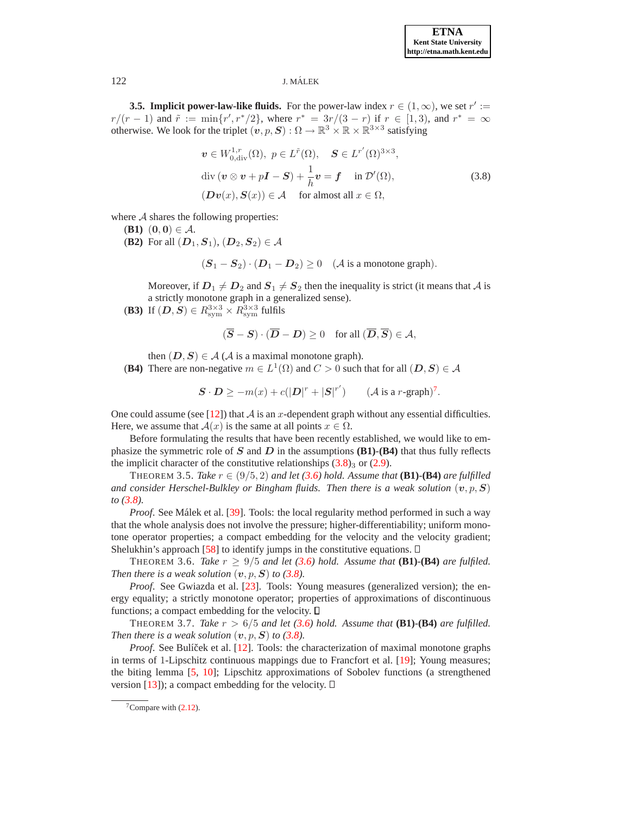# 122 J. MALEK ´

<span id="page-12-1"></span>**3.5. Implicit power-law-like fluids.** For the power-law index  $r \in (1, \infty)$ , we set  $r' :=$  $r/(r-1)$  and  $\tilde{r} := \min\{r', r^*/2\}$ , where  $r^* = \frac{3r}{(3-r)}$  if  $r \in [1,3)$ , and  $r^* = \infty$ otherwise. We look for the triplet  $(v, p, S) : \Omega \to \mathbb{R}^3 \times \mathbb{R} \times \mathbb{R}^{3 \times 3}$  satisfying

$$
\boldsymbol{v} \in W_{0, \text{div}}^{1,r}(\Omega), \ \ p \in L^{\tilde{r}}(\Omega), \quad \boldsymbol{S} \in L^{r'}(\Omega)^{3 \times 3},
$$
  
div  $(\boldsymbol{v} \otimes \boldsymbol{v} + p\boldsymbol{I} - \boldsymbol{S}) + \frac{1}{h}\boldsymbol{v} = \boldsymbol{f} \quad \text{in } \mathcal{D}'(\Omega),$   
 $(\boldsymbol{D}\boldsymbol{v}(x), \boldsymbol{S}(x)) \in \mathcal{A} \quad \text{for almost all } x \in \Omega,$  (3.8)

where  $A$  shares the following properties:

- **(B1)**  $(0, 0) \in A$ .
- (**B2**) For all  $(D_1, S_1)$ ,  $(D_2, S_2) \in \mathcal{A}$

$$
(\boldsymbol{S}_1 - \boldsymbol{S}_2) \cdot (\boldsymbol{D}_1 - \boldsymbol{D}_2) \ge 0 \quad (\mathcal{A} \text{ is a monotone graph}).
$$

Moreover, if  $D_1 \neq D_2$  and  $S_1 \neq S_2$  then the inequality is strict (it means that A is a strictly monotone graph in a generalized sense).

(**B3**) If  $(D, S) \in R^{3 \times 3}_{\mathrm{sym}} \times R^{3 \times 3}_{\mathrm{sym}}$  fulfils

$$
(\overline{\bm{S}} - \bm{S}) \cdot (\overline{\bm{D}} - \bm{D}) \ge 0 \quad \text{for all } (\overline{\bm{D}}, \overline{\bm{S}}) \in \mathcal{A},
$$

then  $(D, S) \in A$  (A is a maximal monotone graph).

(B4) There are non-negative  $m \in L^1(\Omega)$  and  $C > 0$  such that for all  $(D, S) \in A$ 

$$
\mathbf{S} \cdot \mathbf{D} \ge -m(x) + c(|\mathbf{D}|^r + |\mathbf{S}|^{r'}) \qquad (\mathcal{A} \text{ is a } r\text{-graph})^7.
$$

One could assume (see [\[12\]](#page-14-22)) that  $A$  is an x-dependent graph without any essential difficulties. Here, we assume that  $A(x)$  is the same at all points  $x \in \Omega$ .

Before formulating the results that have been recently established, we would like to emphasize the symmetric role of  $S$  and  $D$  in the assumptions **(B1)**-**(B4)** that thus fully reflects the implicit character of the constitutive relationships  $(3.8)_3$  or  $(2.9)$ .

THEOREM 3.5. *Take*  $r \in (9/5, 2)$  *and let* [\(3.6\)](#page-10-2) *hold. Assume that* (**B1**) $\cdot$ (**B4**) *are fulfilled and consider Herschel-Bulkley or Bingham fluids. Then there is a weak solution*  $(v, p, S)$ *to [\(3.8\)](#page-12-1).*

*Proof.* See Málek et al. [[39\]](#page-14-12). Tools: the local regularity method performed in such a way that the whole analysis does not involve the pressure; higher-differentiability; uniform monotone operator properties; a compact embedding for the velocity and the velocity gradient; Shelukhin's approach [\[58\]](#page-15-21) to identify jumps in the constitutive equations.  $\square$ 

THEOREM 3.6. *Take*  $r > 9/5$  *and let* [\(3.6\)](#page-10-2) *hold.* Assume that (B1) $\cdot$ (B4) *are fulfiled. Then there is a weak solution*  $(v, p, S)$  *to* [\(3.8\)](#page-12-1)*.* 

*Proof.* See Gwiazda et al. [\[23\]](#page-14-13). Tools: Young measures (generalized version); the energy equality; a strictly monotone operator; properties of approximations of discontinuous functions; a compact embedding for the velocity.  $\Box$ 

THEOREM 3.7. *Take*  $r > 6/5$  *and let* [\(3.6\)](#page-10-2) *hold.* Assume that (B1) $\cdot$ (B4) are fulfilled. *Then there is a weak solution*  $(v, p, S)$  *to* [\(3.8\)](#page-12-1)*.* 

*Proof.* See Bulíček et al. [[12\]](#page-14-22). Tools: the characterization of maximal monotone graphs in terms of 1-Lipschitz continuous mappings due to Francfort et al. [\[19\]](#page-14-23); Young measures; the biting lemma [\[5,](#page-13-9) [10\]](#page-13-10); Lipschitz approximations of Sobolev functions (a strengthened version [\[13\]](#page-14-20)); a compact embedding for the velocity.  $\Box$ 

<span id="page-12-0"></span> $7$ Compare with  $(2.12)$ .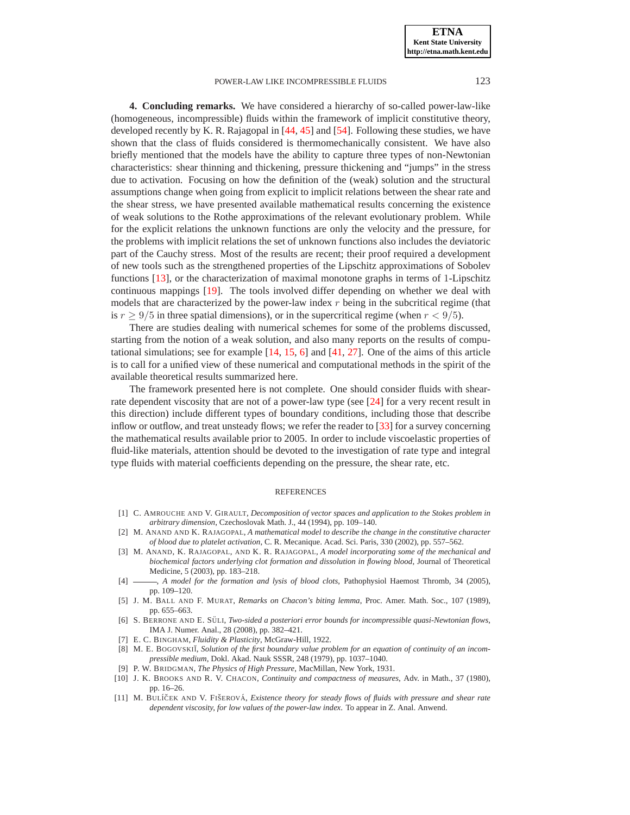**ETNA Kent State University http://etna.math.kent.edu**

# POWER-LAW LIKE INCOMPRESSIBLE FLUIDS 123

<span id="page-13-0"></span>**4. Concluding remarks.** We have considered a hierarchy of so-called power-law-like (homogeneous, incompressible) fluids within the framework of implicit constitutive theory, developed recently by K. R. Rajagopal in [\[44,](#page-15-4) [45\]](#page-15-5) and [\[54\]](#page-15-3). Following these studies, we have shown that the class of fluids considered is thermomechanically consistent. We have also briefly mentioned that the models have the ability to capture three types of non-Newtonian characteristics: shear thinning and thickening, pressure thickening and "jumps" in the stress due to activation. Focusing on how the definition of the (weak) solution and the structural assumptions change when going from explicit to implicit relations between the shear rate and the shear stress, we have presented available mathematical results concerning the existence of weak solutions to the Rothe approximations of the relevant evolutionary problem. While for the explicit relations the unknown functions are only the velocity and the pressure, for the problems with implicit relations the set of unknown functions also includes the deviatoric part of the Cauchy stress. Most of the results are recent; their proof required a development of new tools such as the strengthened properties of the Lipschitz approximations of Sobolev functions [\[13\]](#page-14-20), or the characterization of maximal monotone graphs in terms of 1-Lipschitz continuous mappings [\[19\]](#page-14-23). The tools involved differ depending on whether we deal with models that are characterized by the power-law index  $r$  being in the subcritical regime (that is  $r \geq 9/5$  in three spatial dimensions), or in the supercritical regime (when  $r < 9/5$ ).

There are studies dealing with numerical schemes for some of the problems discussed, starting from the notion of a weak solution, and also many reports on the results of computational simulations; see for example [\[14,](#page-14-24) [15,](#page-14-25) [6\]](#page-13-11) and [\[41,](#page-15-22) [27\]](#page-14-26). One of the aims of this article is to call for a unified view of these numerical and computational methods in the spirit of the available theoretical results summarized here.

The framework presented here is not complete. One should consider fluids with shearrate dependent viscosity that are not of a power-law type (see [\[24\]](#page-14-27) for a very recent result in this direction) include different types of boundary conditions, including those that describe inflow or outflow, and treat unsteady flows; we refer the reader to [\[33\]](#page-14-5) for a survey concerning the mathematical results available prior to 2005. In order to include viscoelastic properties of fluid-like materials, attention should be devoted to the investigation of rate type and integral type fluids with material coefficients depending on the pressure, the shear rate, etc.

#### REFERENCES

- <span id="page-13-7"></span>[1] C. AMROUCHE AND V. GIRAULT, *Decomposition of vector spaces and application to the Stokes problem in arbitrary dimension*, Czechoslovak Math. J., 44 (1994), pp. 109–140.
- <span id="page-13-3"></span>[2] M. ANAND AND K. RAJAGOPAL, *A mathematical model to describe the change in the constitutive character of blood due to platelet activation*, C. R. Mecanique. Acad. Sci. Paris, 330 (2002), pp. 557–562.
- <span id="page-13-4"></span>[3] M. ANAND, K. RAJAGOPAL, AND K. R. RAJAGOPAL, *A model incorporating some of the mechanical and biochemical factors underlying clot formation and dissolution in flowing blood*, Journal of Theoretical Medicine, 5 (2003), pp. 183–218.
- <span id="page-13-5"></span>[4] , *A model for the formation and lysis of blood clots*, Pathophysiol Haemost Thromb, 34 (2005), pp. 109–120.
- <span id="page-13-9"></span>[5] J. M. BALL AND F. MURAT, *Remarks on Chacon's biting lemma*, Proc. Amer. Math. Soc., 107 (1989), pp. 655–663.
- <span id="page-13-11"></span>[6] S. BERRONE AND E. SÜLI, *Two-sided a posteriori error bounds for incompressible quasi-Newtonian flows*, IMA J. Numer. Anal., 28 (2008), pp. 382–421.
- <span id="page-13-2"></span>[7] E. C. BINGHAM, *Fluidity & Plasticity*, McGraw-Hill, 1922.
- <span id="page-13-6"></span>[8] M. E. BOGOVSKII, *Solution of the first boundary value problem for an equation of continuity of an incompressible medium*, Dokl. Akad. Nauk SSSR, 248 (1979), pp. 1037–1040.
- [9] P. W. BRIDGMAN, *The Physics of High Pressure*, MacMillan, New York, 1931.
- <span id="page-13-10"></span><span id="page-13-1"></span>[10] J. K. BROOKS AND R. V. CHACON, *Continuity and compactness of measures*, Adv. in Math., 37 (1980), pp. 16–26.
- <span id="page-13-8"></span>[11] M. BULÍČEK AND V. FIŠEROVÁ, *Existence theory for steady flows of fluids with pressure and shear rate dependent viscosity, for low values of the power-law index*. To appear in Z. Anal. Anwend.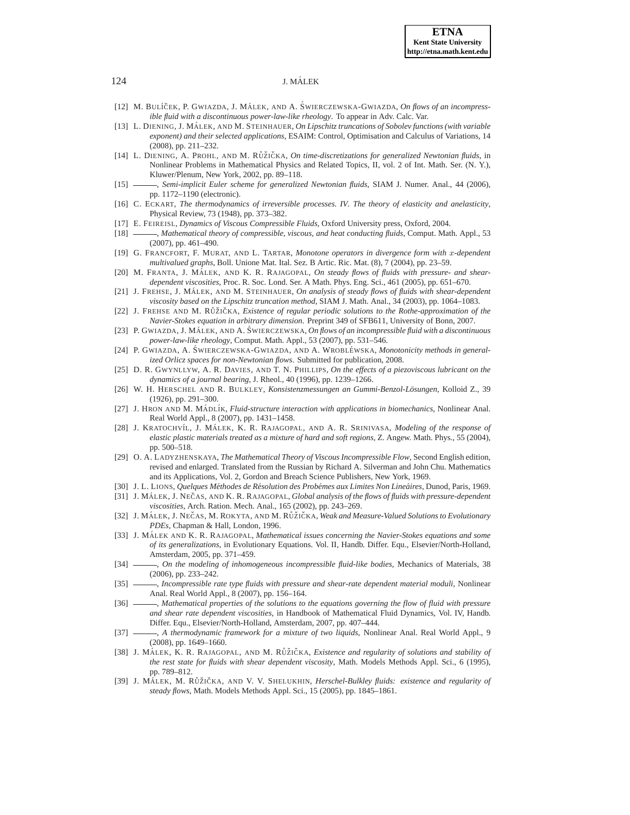- [12] M. BULÍČEK, P. GWIAZDA, J. MÁLEK, AND A. ŚWIERCZEWSKA-GWIAZDA, On flows of an incompress*ible fluid with a discontinuous power-law-like rheology*. To appear in Adv. Calc. Var.
- <span id="page-14-20"></span>[13] L. DIENING, J. MÁLEK, AND M. STEINHAUER, *On Lipschitz truncations of Sobolev functions (with variable exponent) and their selected applications*, ESAIM: Control, Optimisation and Calculus of Variations, 14 (2008), pp. 211–232.
- <span id="page-14-24"></span>[14] L. DIENING, A. PROHL, AND M. RŮŽIČKA, On time-discretizations for generalized Newtonian fluids, in Nonlinear Problems in Mathematical Physics and Related Topics, II, vol. 2 of Int. Math. Ser. (N. Y.), Kluwer/Plenum, New York, 2002, pp. 89–118.
- <span id="page-14-25"></span>[15] , *Semi-implicit Euler scheme for generalized Newtonian fluids*, SIAM J. Numer. Anal., 44 (2006), pp. 1172–1190 (electronic).
- <span id="page-14-0"></span>[16] C. ECKART, *The thermodynamics of irreversible processes. IV. The theory of elasticity and anelasticity*, Physical Review, 73 (1948), pp. 373–382.
- <span id="page-14-15"></span><span id="page-14-14"></span>[17] E. FEIREISL, *Dynamics of Viscous Compressible Fluids*, Oxford University press, Oxford, 2004.
- [18] , *Mathematical theory of compressible, viscous, and heat conducting fluids*, Comput. Math. Appl., 53 (2007), pp. 461–490.
- <span id="page-14-23"></span>[19] G. FRANCFORT, F. MURAT, AND L. TARTAR, *Monotone operators in divergence form with* x*-dependent multivalued graphs*, Boll. Unione Mat. Ital. Sez. B Artic. Ric. Mat. (8), 7 (2004), pp. 23–59.
- <span id="page-14-21"></span>[20] M. FRANTA, J. MÁLEK, AND K. R. RAJAGOPAL, On steady flows of fluids with pressure- and shear*dependent viscosities*, Proc. R. Soc. Lond. Ser. A Math. Phys. Eng. Sci., 461 (2005), pp. 651–670.
- <span id="page-14-19"></span>[21] J. FREHSE, J. MÁLEK, AND M. STEINHAUER, *On analysis of steady flows of fluids with shear-dependent viscosity based on the Lipschitz truncation method*, SIAM J. Math. Anal., 34 (2003), pp. 1064–1083.
- <span id="page-14-16"></span><span id="page-14-13"></span>[22] J. FREHSE AND M. RŮŽIČKA, *Existence of regular periodic solutions to the Rothe-approximation of the Navier-Stokes equation in arbitrary dimension*. Preprint 349 of SFB611, University of Bonn, 2007.
- [23] P. GWIAZDA, J. MÁLEK, AND A. ŚWIERCZEWSKA, *On flows of an incompressible fluid with a discontinuous power-law-like rheology*, Comput. Math. Appl., 53 (2007), pp. 531–546.
- <span id="page-14-27"></span>[24] P. GWIAZDA, A. ŚWIERCZEWSKA-GWIAZDA, AND A. WROBLÉWSKA, Monotonicity methods in general*ized Orlicz spaces for non-Newtonian flows*. Submitted for publication, 2008.
- <span id="page-14-9"></span>[25] D. R. GWYNLLYW, A. R. DAVIES, AND T. N. PHILLIPS, *On the effects of a piezoviscous lubricant on the dynamics of a journal bearing*, J. Rheol., 40 (1996), pp. 1239–1266.
- <span id="page-14-11"></span>[26] W. H. HERSCHEL AND R. BULKLEY, *Konsistenzmessungen an Gummi-Benzol-Lösungen*, Kolloid Z., 39 (1926), pp. 291–300.
- <span id="page-14-26"></span>[27] J. HRON AND M. MÁDLÍK, *Fluid-structure interaction with applications in biomechanics*, Nonlinear Anal. Real World Appl., 8 (2007), pp. 1431–1458.
- <span id="page-14-2"></span>[28] J. KRATOCHVÍL, J. MÁLEK, K. R. RAJAGOPAL, AND A. R. SRINIVASA, *Modeling of the response of elastic plastic materials treated as a mixture of hard and soft regions*, Z. Angew. Math. Phys., 55 (2004), pp. 500–518.
- <span id="page-14-17"></span>[29] O. A. LADYZHENSKAYA, *The Mathematical Theory of Viscous Incompressible Flow*, Second English edition, revised and enlarged. Translated from the Russian by Richard A. Silverman and John Chu. Mathematics and its Applications, Vol. 2, Gordon and Breach Science Publishers, New York, 1969.
- <span id="page-14-18"></span><span id="page-14-10"></span>[30] J. L. LIONS, *Quelques Methodes de R ´ esolution des Prob ´ emes aux Limites Non Line ´ aires ´* , Dunod, Paris, 1969.
- [31] J. MÁLEK, J. NEČAS, AND K. R. RAJAGOPAL, *Global analysis of the flows of fluids with pressure-dependent viscosities*, Arch. Ration. Mech. Anal., 165 (2002), pp. 243–269.
- <span id="page-14-6"></span>[32] J. MÁLEK, J. NEČAS, M. ROKYTA, AND M. RŮŽIČKA, *Weak and Measure-Valued Solutions to Evolutionary PDEs*, Chapman & Hall, London, 1996.
- <span id="page-14-5"></span>[33] J. MÁLEK AND K. R. RAJAGOPAL, *Mathematical issues concerning the Navier-Stokes equations and some of its generalizations*, in Evolutionary Equations. Vol. II, Handb. Differ. Equ., Elsevier/North-Holland, Amsterdam, 2005, pp. 371–459.
- <span id="page-14-3"></span>[34] , *On the modeling of inhomogeneous incompressible fluid-like bodies*, Mechanics of Materials, 38 (2006), pp. 233–242.
- <span id="page-14-1"></span>[35]  $\_\_\_\_\$ ncompressible rate type fluids with pressure and shear-rate dependent material moduli, Nonlinear Anal. Real World Appl., 8 (2007), pp. 156–164.
- <span id="page-14-8"></span>[36] **,** *Mathematical properties of the solutions to the equations governing the flow of fluid with pressure and shear rate dependent viscosities*, in Handbook of Mathematical Fluid Dynamics, Vol. IV, Handb. Differ. Equ., Elsevier/North-Holland, Amsterdam, 2007, pp. 407–444.
- <span id="page-14-4"></span>[37] , *A thermodynamic framework for a mixture of two liquids*, Nonlinear Anal. Real World Appl., 9 (2008), pp. 1649–1660.
- <span id="page-14-7"></span>[38] J. MÁLEK, K. R. RAJAGOPAL, AND M. RŮŽIČKA, *Existence and regularity of solutions and stability of the rest state for fluids with shear dependent viscosity*, Math. Models Methods Appl. Sci., 6 (1995), pp. 789–812.
- <span id="page-14-12"></span>[39] J. MÁLEK, M. RŮŽIČKA, AND V. V. SHELUKHIN, *Herschel-Bulkley fluids: existence and regularity of steady flows*, Math. Models Methods Appl. Sci., 15 (2005), pp. 1845–1861.

<span id="page-14-22"></span>